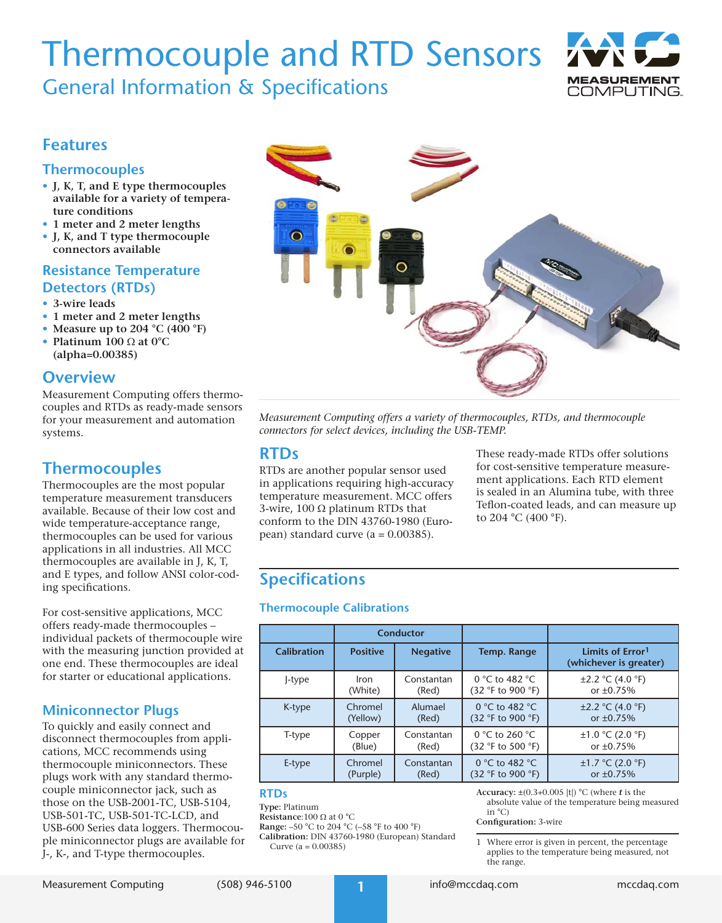# Thermocouple and RTD Sensors 7

General Information & Specifications



## **Features**

## **Thermocouples**

- **• J, K, T, and E type thermocouples available for a variety of temperature conditions**
- **• 1 meter and 2 meter lengths**
- **• J, K, and T type thermocouple connectors available**

## **Resistance Temperature Detectors (RTDs)**

- **• 3-wire leads**
- **• 1 meter and 2 meter lengths**
- **• Measure up to 204 °C (400 °F)**
- **• Platinum 100** Ω **at 0°C (alpha=0.00385)**

## **Overview**

Measurement Computing offers thermocouples and RTDs as ready-made sensors for your measurement and automation systems.

## **Thermocouples**

Thermocouples are the most popular temperature measurement transducers available. Because of their low cost and wide temperature-acceptance range, thermocouples can be used for various applications in all industries. All MCC thermocouples are available in J, K, T, and E types, and follow ANSI color-coding specifications.

For cost-sensitive applications, MCC offers ready-made thermocouples – individual packets of thermocouple wire with the measuring junction provided at one end. These thermocouples are ideal for starter or educational applications.

## **Miniconnector Plugs**

To quickly and easily connect and disconnect thermocouples from applications, MCC recommends using thermocouple miniconnectors. These plugs work with any standard thermocouple miniconnector jack, such as those on the USB-2001-TC, USB-5104, USB-501-TC, USB-501-TC-LCD, and USB-600 Series data loggers. Thermocouple miniconnector plugs are available for J-, K-, and T-type thermocouples.



*Measurement Computing offers a variety of thermocouples, RTDs, and thermocouple connectors for select devices, including the USB-TEMP.*

## **RTDs**

RTDs are another popular sensor used in applications requiring high-accuracy temperature measurement. MCC offers 3-wire, 100  $\Omega$  platinum RTDs that conform to the DIN 43760-1980 (European) standard curve  $(a = 0.00385)$ .

These ready-made RTDs offer solutions for cost-sensitive temperature measurement applications. Each RTD element is sealed in an Alumina tube, with three Teflon-coated leads, and can measure up to 204 °C (400 °F).

## **Specifications**

### **Thermocouple Calibrations**

|                    | Conductor       |                 |                   |                                                        |
|--------------------|-----------------|-----------------|-------------------|--------------------------------------------------------|
| <b>Calibration</b> | <b>Positive</b> | <b>Negative</b> | Temp. Range       | Limits of Error <sup>1</sup><br>(whichever is greater) |
| J-type             | Iron            | Constantan      | 0 °C to 482 °C    | $\pm 2.2$ °C (4.0 °F)                                  |
|                    | (White)         | (Red)           | (32 °F to 900 °F) | or $\pm 0.75%$                                         |
| K-type             | Chromel         | Alumael         | 0 °C to 482 °C    | $\pm 2.2$ °C (4.0 °F)                                  |
|                    | (Yellow)        | (Red)           | (32 °F to 900 °F) | or $\pm 0.75\%$                                        |
| T-type             | Copper          | Constantan      | 0 °C to 260 °C    | $\pm 1.0$ °C (2.0 °F)                                  |
|                    | (Blue)          | (Red)           | (32 °F to 500 °F) | or $\pm 0.75%$                                         |
| E-type             | Chromel         | Constantan      | 0 °C to 482 °C    | $\pm 1.7$ °C (2.0 °F)                                  |
|                    | (Purple)        | (Red)           | (32 °F to 900 °F) | or $\pm 0.75%$                                         |

#### **RTDs**

**Type:** Platinum

**Resistance**:100 Ω at 0 °C

**Range:** –50 °C to 204 °C (–58 °F to 400 °F) **Calibration:** DIN 43760-1980 (European) Standard

Curve (a = 0.00385)

**Accuracy:** ±(0.3+0.005 |t|) °C (where *t* is the absolute value of the temperature being measured in  $^{\circ}$ C)

**Configuration:** 3-wire

Where error is given in percent, the percentage applies to the temperature being measured, not the range.